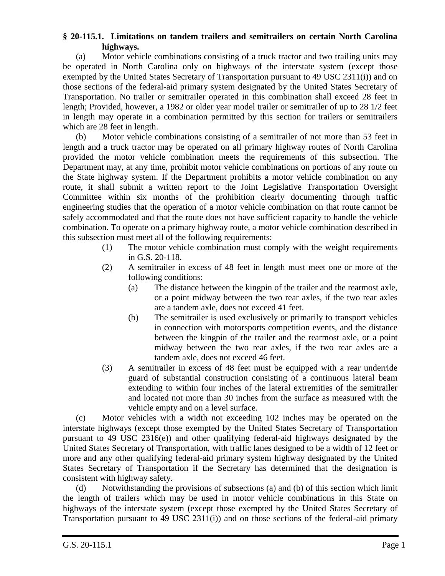## **§ 20-115.1. Limitations on tandem trailers and semitrailers on certain North Carolina highways.**

(a) Motor vehicle combinations consisting of a truck tractor and two trailing units may be operated in North Carolina only on highways of the interstate system (except those exempted by the United States Secretary of Transportation pursuant to 49 USC 2311(i)) and on those sections of the federal-aid primary system designated by the United States Secretary of Transportation. No trailer or semitrailer operated in this combination shall exceed 28 feet in length; Provided, however, a 1982 or older year model trailer or semitrailer of up to 28 1/2 feet in length may operate in a combination permitted by this section for trailers or semitrailers which are 28 feet in length.

(b) Motor vehicle combinations consisting of a semitrailer of not more than 53 feet in length and a truck tractor may be operated on all primary highway routes of North Carolina provided the motor vehicle combination meets the requirements of this subsection. The Department may, at any time, prohibit motor vehicle combinations on portions of any route on the State highway system. If the Department prohibits a motor vehicle combination on any route, it shall submit a written report to the Joint Legislative Transportation Oversight Committee within six months of the prohibition clearly documenting through traffic engineering studies that the operation of a motor vehicle combination on that route cannot be safely accommodated and that the route does not have sufficient capacity to handle the vehicle combination. To operate on a primary highway route, a motor vehicle combination described in this subsection must meet all of the following requirements:

- (1) The motor vehicle combination must comply with the weight requirements in G.S. 20-118.
- (2) A semitrailer in excess of 48 feet in length must meet one or more of the following conditions:
	- (a) The distance between the kingpin of the trailer and the rearmost axle, or a point midway between the two rear axles, if the two rear axles are a tandem axle, does not exceed 41 feet.
	- (b) The semitrailer is used exclusively or primarily to transport vehicles in connection with motorsports competition events, and the distance between the kingpin of the trailer and the rearmost axle, or a point midway between the two rear axles, if the two rear axles are a tandem axle, does not exceed 46 feet.
- (3) A semitrailer in excess of 48 feet must be equipped with a rear underride guard of substantial construction consisting of a continuous lateral beam extending to within four inches of the lateral extremities of the semitrailer and located not more than 30 inches from the surface as measured with the vehicle empty and on a level surface.

(c) Motor vehicles with a width not exceeding 102 inches may be operated on the interstate highways (except those exempted by the United States Secretary of Transportation pursuant to 49 USC 2316(e)) and other qualifying federal-aid highways designated by the United States Secretary of Transportation, with traffic lanes designed to be a width of 12 feet or more and any other qualifying federal-aid primary system highway designated by the United States Secretary of Transportation if the Secretary has determined that the designation is consistent with highway safety.

(d) Notwithstanding the provisions of subsections (a) and (b) of this section which limit the length of trailers which may be used in motor vehicle combinations in this State on highways of the interstate system (except those exempted by the United States Secretary of Transportation pursuant to 49 USC 2311(i)) and on those sections of the federal-aid primary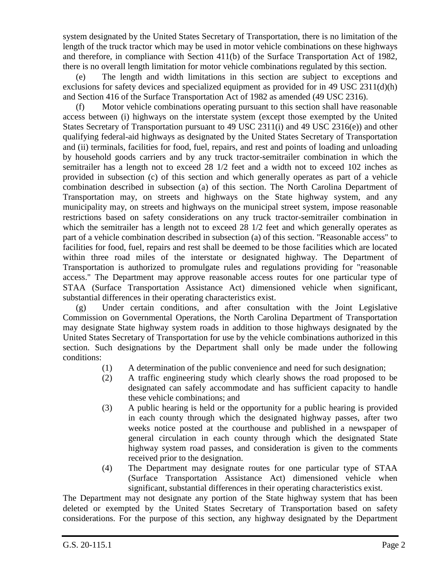system designated by the United States Secretary of Transportation, there is no limitation of the length of the truck tractor which may be used in motor vehicle combinations on these highways and therefore, in compliance with Section 411(b) of the Surface Transportation Act of 1982, there is no overall length limitation for motor vehicle combinations regulated by this section.

(e) The length and width limitations in this section are subject to exceptions and exclusions for safety devices and specialized equipment as provided for in 49 USC 2311(d)(h) and Section 416 of the Surface Transportation Act of 1982 as amended (49 USC 2316).

(f) Motor vehicle combinations operating pursuant to this section shall have reasonable access between (i) highways on the interstate system (except those exempted by the United States Secretary of Transportation pursuant to 49 USC 2311(i) and 49 USC 2316(e)) and other qualifying federal-aid highways as designated by the United States Secretary of Transportation and (ii) terminals, facilities for food, fuel, repairs, and rest and points of loading and unloading by household goods carriers and by any truck tractor-semitrailer combination in which the semitrailer has a length not to exceed 28 1/2 feet and a width not to exceed 102 inches as provided in subsection (c) of this section and which generally operates as part of a vehicle combination described in subsection (a) of this section. The North Carolina Department of Transportation may, on streets and highways on the State highway system, and any municipality may, on streets and highways on the municipal street system, impose reasonable restrictions based on safety considerations on any truck tractor-semitrailer combination in which the semitrailer has a length not to exceed 28  $1/2$  feet and which generally operates as part of a vehicle combination described in subsection (a) of this section. "Reasonable access" to facilities for food, fuel, repairs and rest shall be deemed to be those facilities which are located within three road miles of the interstate or designated highway. The Department of Transportation is authorized to promulgate rules and regulations providing for "reasonable access." The Department may approve reasonable access routes for one particular type of STAA (Surface Transportation Assistance Act) dimensioned vehicle when significant, substantial differences in their operating characteristics exist.

(g) Under certain conditions, and after consultation with the Joint Legislative Commission on Governmental Operations, the North Carolina Department of Transportation may designate State highway system roads in addition to those highways designated by the United States Secretary of Transportation for use by the vehicle combinations authorized in this section. Such designations by the Department shall only be made under the following conditions:

- (1) A determination of the public convenience and need for such designation;
- (2) A traffic engineering study which clearly shows the road proposed to be designated can safely accommodate and has sufficient capacity to handle these vehicle combinations; and
- (3) A public hearing is held or the opportunity for a public hearing is provided in each county through which the designated highway passes, after two weeks notice posted at the courthouse and published in a newspaper of general circulation in each county through which the designated State highway system road passes, and consideration is given to the comments received prior to the designation.
- (4) The Department may designate routes for one particular type of STAA (Surface Transportation Assistance Act) dimensioned vehicle when significant, substantial differences in their operating characteristics exist.

The Department may not designate any portion of the State highway system that has been deleted or exempted by the United States Secretary of Transportation based on safety considerations. For the purpose of this section, any highway designated by the Department